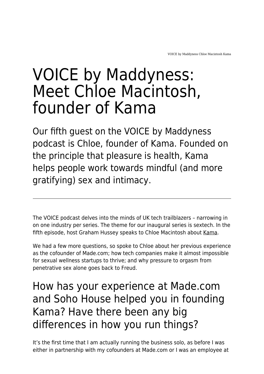# VOICE by Maddyness: Meet Chloe Macintosh, founder of Kama

Our fifth guest on the VOICE by Maddyness podcast is Chloe, founder of Kama. Founded on the principle that pleasure is health, Kama helps people work towards mindful (and more gratifying) sex and intimacy.

The VOICE podcast delves into the minds of UK tech trailblazers – narrowing in on one industry per series. The theme for our inaugural series is sextech. In the fifth episode, host Graham Hussey speaks to Chloe Macintosh about [Kama](https://kama.co/).

We had a few more questions, so spoke to Chloe about her previous experience as the cofounder of Made.com; how tech companies make it almost impossible for sexual wellness startups to thrive; and why pressure to orgasm from penetrative sex alone goes back to Freud.

# How has your experience at Made.com and Soho House helped you in founding Kama? Have there been any big differences in how you run things?

It's the first time that I am actually running the business solo, as before I was either in partnership with my cofounders at Made.com or I was an employee at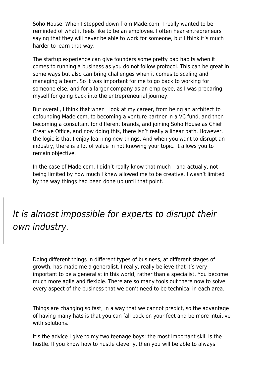Soho House. When I stepped down from Made.com, I really wanted to be reminded of what it feels like to be an employee. I often hear entrepreneurs saying that they will never be able to work for someone, but I think it's much harder to learn that way.

The startup experience can give founders some pretty bad habits when it comes to running a business as you do not follow protocol. This can be great in some ways but also can bring challenges when it comes to scaling and managing a team. So it was important for me to go back to working for someone else, and for a larger company as an employee, as I was preparing myself for going back into the entrepreneurial journey.

But overall, I think that when I look at my career, from being an architect to cofounding Made.com, to becoming a venture partner in a VC fund, and then becoming a consultant for different brands, and joining Soho House as Chief Creative Office, and now doing this, there isn't really a linear path. However, the logic is that I enjoy learning new things. And when you want to disrupt an industry, there is a lot of value in not knowing your topic. It allows you to remain objective.

In the case of Made.com, I didn't really know that much – and actually, not being limited by how much I knew allowed me to be creative. I wasn't limited by the way things had been done up until that point.

#### It is almost impossible for experts to disrupt their own industry.

Doing different things in different types of business, at different stages of growth, has made me a generalist. I really, really believe that it's very important to be a generalist in this world, rather than a specialist. You become much more agile and flexible. There are so many tools out there now to solve every aspect of the business that we don't need to be technical in each area.

Things are changing so fast, in a way that we cannot predict, so the advantage of having many hats is that you can fall back on your feet and be more intuitive with solutions.

It's the advice I give to my two teenage boys: the most important skill is the hustle. If you know how to hustle cleverly, then you will be able to always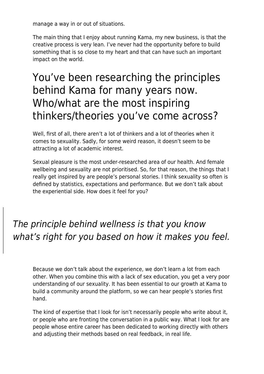manage a way in or out of situations.

The main thing that I enjoy about running Kama, my new business, is that the creative process is very lean. I've never had the opportunity before to build something that is so close to my heart and that can have such an important impact on the world.

# You've been researching the principles behind Kama for many years now. Who/what are the most inspiring thinkers/theories you've come across?

Well, first of all, there aren't a lot of thinkers and a lot of theories when it comes to sexuality. Sadly, for some weird reason, it doesn't seem to be attracting a lot of academic interest.

Sexual pleasure is the most under-researched area of our health. And female wellbeing and sexuality are not prioritised. So, for that reason, the things that I really get inspired by are people's personal stories. I think sexuality so often is defined by statistics, expectations and performance. But we don't talk about the experiential side. How does it feel for you?

### The principle behind wellness is that you know what's right for you based on how it makes you feel.

Because we don't talk about the experience, we don't learn a lot from each other. When you combine this with a lack of sex education, you get a very poor understanding of our sexuality. It has been essential to our growth at Kama to build a community around the platform, so we can hear people's stories first hand.

The kind of expertise that I look for isn't necessarily people who write about it, or people who are fronting the conversation in a public way. What I look for are people whose entire career has been dedicated to working directly with others and adjusting their methods based on real feedback, in real life.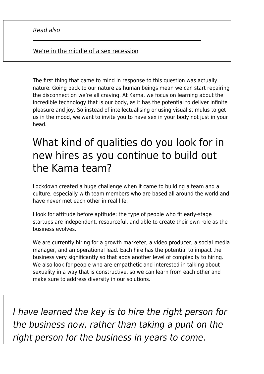#### [We're in the middle of a sex recession](https://www.maddyness.com/uk/2020/10/15/were-in-the-middle-of-a-sex-recession/)

The first thing that came to mind in response to this question was actually nature. Going back to our nature as human beings mean we can start repairing the disconnection we're all craving. At Kama, we focus on learning about the incredible technology that is our body, as it has the potential to deliver infinite pleasure and joy. So instead of intellectualising or using visual stimulus to get us in the mood, we want to invite you to have sex in your body not just in your head.

# What kind of qualities do you look for in new hires as you continue to build out the Kama team?

Lockdown created a huge challenge when it came to building a team and a culture, especially with team members who are based all around the world and have never met each other in real life.

I look for attitude before aptitude; the type of people who fit early-stage startups are independent, resourceful, and able to create their own role as the business evolves.

We are currently hiring for a growth marketer, a video producer, a social media manager, and an operational lead. Each hire has the potential to impact the business very significantly so that adds another level of complexity to hiring. We also look for people who are empathetic and interested in talking about sexuality in a way that is constructive, so we can learn from each other and make sure to address diversity in our solutions.

I have learned the key is to hire the right person for the business now, rather than taking a punt on the right person for the business in years to come.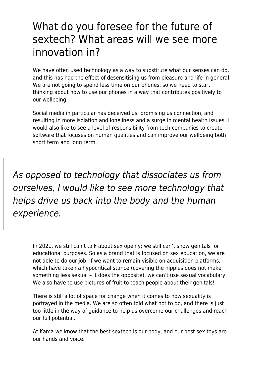# What do you foresee for the future of sextech? What areas will we see more innovation in?

We have often used technology as a way to substitute what our senses can do, and this has had the effect of desensitising us from pleasure and life in general. We are not going to spend less time on our phones, so we need to start thinking about how to use our phones in a way that contributes positively to our wellbeing.

Social media in particular has deceived us, promising us connection, and resulting in more isolation and loneliness and a surge in mental health issues. I would also like to see a level of responsibility from tech companies to create software that focuses on human qualities and can improve our wellbeing both short term and long term.

As opposed to technology that dissociates us from ourselves, I would like to see more technology that helps drive us back into the body and the human experience.

In 2021, we still can't talk about sex openly; we still can't show genitals for educational purposes. So as a brand that is focused on sex education, we are not able to do our job. If we want to remain visible on acquisition platforms, which have taken a hypocritical stance (covering the nipples does not make something less sexual – it does the opposite), we can't use sexual vocabulary. We also have to use pictures of fruit to teach people about their genitals!

There is still a lot of space for change when it comes to how sexuality is portrayed in the media. We are so often told what not to do, and there is just too little in the way of guidance to help us overcome our challenges and reach our full potential.

At Kama we know that the best sextech is our body, and our best sex toys are our hands and voice.